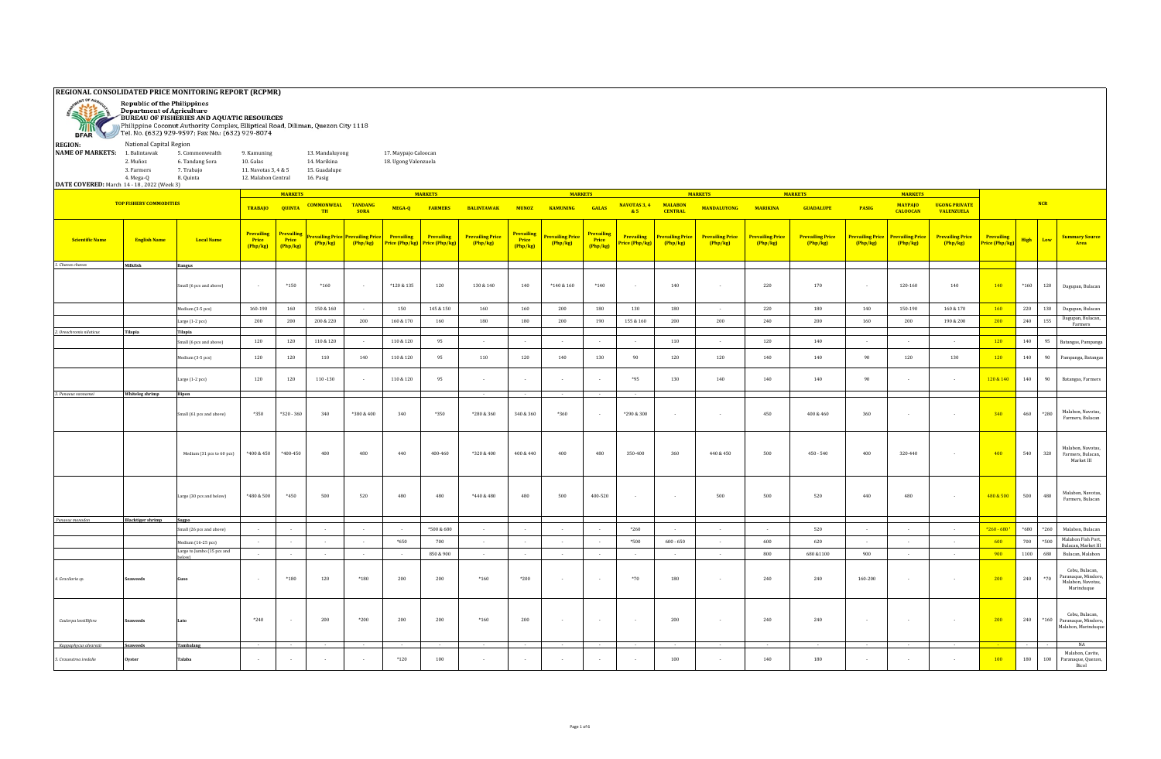| <b>SER</b>               | REGIONAL CONSOLIDATED PRICE MONITORING REPORT (RCPMR)<br><b>Republic of the Philippines</b><br><b>Department of Agriculture</b><br>BUREAU OF FISHERIES AND AQUATIC RESOURCES<br>Philippine Coconut Authority Complex, Elliptical Road, Diliman, Quezon City 1118<br>BFAR Tel. No. (632) 929-9597; Fax No.: (632) 929-8074<br>National Capital Region<br><b>REGION:</b><br>9. Kamuning |                                   |                                        |                                 |                                                               |                          |                                              |                              |                                   |                               |                                     |                                 |                             |                                  |                                   |                                   |                                   |                                   |                                  |                                     |                                     |             |                                                                                  |
|--------------------------|---------------------------------------------------------------------------------------------------------------------------------------------------------------------------------------------------------------------------------------------------------------------------------------------------------------------------------------------------------------------------------------|-----------------------------------|----------------------------------------|---------------------------------|---------------------------------------------------------------|--------------------------|----------------------------------------------|------------------------------|-----------------------------------|-------------------------------|-------------------------------------|---------------------------------|-----------------------------|----------------------------------|-----------------------------------|-----------------------------------|-----------------------------------|-----------------------------------|----------------------------------|-------------------------------------|-------------------------------------|-------------|----------------------------------------------------------------------------------|
| <b>NAME OF MARKETS:</b>  | 1. Balintawak<br>5. Commonwealth<br>2. Muñoz<br>6. Tandang Sora<br>3. Farmers<br>7. Trabajo<br>4. Mega-Q<br>8. Quinta<br>DATE COVERED: March 14 - 18, 2022 (Week 3)                                                                                                                                                                                                                   |                                   |                                        |                                 | 13. Mandaluyong<br>14. Marikina<br>15. Guadalupe<br>16. Pasig |                          | 17. Maypajo Caloocan<br>18. Ugong Valenzuela |                              |                                   |                               |                                     |                                 |                             |                                  |                                   |                                   |                                   |                                   |                                  |                                     |                                     |             |                                                                                  |
|                          | <b>TOP FISHERY COMMODITIES</b>                                                                                                                                                                                                                                                                                                                                                        |                                   |                                        | <b>MARKETS</b>                  | <b>COMMONWEAL</b>                                             | <b>TANDANG</b>           |                                              | <b>MARKETS</b>               |                                   |                               |                                     | <b>MARKETS</b>                  | NAVOTAS 3, 4                | <b>MALABON</b>                   | <b>MARKETS</b>                    |                                   | <b>MARKETS</b>                    |                                   | <b>MARKETS</b><br><b>MAYPAJO</b> | <b>UGONG PRIVATE</b>                |                                     | NCR         |                                                                                  |
|                          |                                                                                                                                                                                                                                                                                                                                                                                       |                                   | <b>TRABAJO</b>                         | <b>QUINTA</b>                   | TH                                                            | <b>SORA</b>              | MEGA-Q                                       | <b>FARMERS</b>               | <b>BALINTAWAK</b>                 | <b>MUNOZ</b>                  | <b>KAMUNING</b>                     | <b>GALAS</b>                    | 85                          | <b>CENTRAL</b>                   | <b>MANDALUYONG</b>                | <b>MARIKINA</b>                   | <b>GUADALUPE</b>                  | PASIG                             | <b>CALOOCAN</b>                  | <b>VALENZUELA</b>                   |                                     |             |                                                                                  |
| <b>Scientific Name</b>   | <b>English Name</b>                                                                                                                                                                                                                                                                                                                                                                   | <b>Local Name</b>                 | <b>Prevailing</b><br>Price<br>(Php/kg) | Prevailing<br>Price<br>(Php/kg) | evailing Price<br>(Php/kg)                                    | revailing Pric<br>Php/kg | Prevailing<br>Price (Php/kg)                 | Prevailing<br>Price (Php/kg) | <b>Prevailing Price</b><br>Php/kg | Prevailing<br>Price<br>Php/kg | <b>Prevailing Price</b><br>(Php/kg) | Prevailing<br>Price<br>(Php/kg) | Prevailing<br>rice (Php/kg) | <b>Prevailing Pric</b><br>Php/kg | <b>Prevailing Price</b><br>Php/kg | <b>Prevailing Price</b><br>Php/kg | <b>Prevailing Price</b><br>Php/kg | <b>Prevailing Price</b><br>Php/kg | Prevailing Price<br>(Php/kg)     | <b>Prevailing Price</b><br>(Php/kg) | <b>Prevailing</b><br>Price (Php/kg) | High<br>Low | <b>Summary Source</b><br>Area                                                    |
| 1. Chanos chanos         | Milkfish                                                                                                                                                                                                                                                                                                                                                                              | Bangus                            |                                        |                                 |                                                               |                          |                                              |                              |                                   |                               |                                     |                                 |                             |                                  |                                   |                                   |                                   |                                   |                                  |                                     |                                     |             |                                                                                  |
|                          |                                                                                                                                                                                                                                                                                                                                                                                       | Small (6 pcs and above)           |                                        | $*150$                          | $*160$                                                        | $\sim$                   | *120 & 135                                   | 120                          | $130\ \&\ 140$                    | 140                           | $*140 & 160$                        | $*140$                          | $\sim$                      | 140                              | $\cdot$                           | 220                               | 170                               |                                   | 120-160                          | 140                                 | 140                                 | $*160$      | 120<br>Dagupan, Bulacan                                                          |
|                          |                                                                                                                                                                                                                                                                                                                                                                                       | ledium (3-5 pcs)                  | 160-190                                | 160                             | 150 & 160                                                     | $\sim$                   | 150                                          | $145\ \&\ 150$               | 160                               | 160                           | 200                                 | 180                             | 130                         | 180                              | $\sim$                            | 220                               | 180                               | 140                               | 150-190                          | 160 & 170                           | 160                                 | 220         | 130<br>Dagupan, Bulacan                                                          |
|                          |                                                                                                                                                                                                                                                                                                                                                                                       | Large (1-2 pcs)                   | 200                                    | 200                             | 200 & 220                                                     | 200                      | 160 & 170                                    | 160                          | 180                               | 180                           | 200                                 | 190                             | 155 & 160                   | 200                              | 200                               | 240                               | 200                               | 160                               | 200                              | 190 & 200                           | 200                                 | 240         | Dagupan, Bulacan,<br>155<br>Farmers                                              |
| 2. Oreochromis niloticus | Tilapia                                                                                                                                                                                                                                                                                                                                                                               | Tilapia<br>mall (6 pcs and above) | 120                                    | 120                             | $110 \& 120$                                                  | $\sim$                   | $110 \& 120$                                 | 95                           | $\sim$                            | $\overline{a}$                | $\sim$                              | $\sim$                          | $\sim$                      | 110                              | $\sim$                            | 120                               | 140                               | $\sim$                            | $\sim$                           | $\sim$                              | 120                                 | 140         | 95<br>Batangas, Pampanga                                                         |
|                          |                                                                                                                                                                                                                                                                                                                                                                                       | edium (3-5 pcs)                   | 120                                    | 120                             | 110                                                           | 140                      | 110 & 120                                    | 95                           | 110                               | 120                           | 140                                 | 130                             | 90                          | 120                              | 120                               | 140                               | 140                               | 90                                | 120                              | 130                                 | 120                                 | 140         | 90<br>Pampanga, Batangas                                                         |
|                          |                                                                                                                                                                                                                                                                                                                                                                                       | arge (1-2 pcs)                    | 120                                    | 120                             | $110 - 130$                                                   | $\sim$                   | $110\,\&\,120$                               | 95                           |                                   |                               | $\sim$                              |                                 | $*95$                       | 130                              | 140                               | 140                               | 140                               | 90                                |                                  | $\sim$                              | 120 & 140                           | 140         | 90<br>Batangas, Farmers                                                          |
| 3. Penaeus vannamei      | Whiteleg shrimp                                                                                                                                                                                                                                                                                                                                                                       | Hipon                             |                                        |                                 |                                                               |                          |                                              |                              |                                   |                               |                                     |                                 |                             |                                  |                                   |                                   |                                   |                                   |                                  |                                     |                                     |             |                                                                                  |
|                          |                                                                                                                                                                                                                                                                                                                                                                                       | mall (61 pcs and above)           | $*350$                                 | $*320 - 360$                    | 340                                                           | *380 & 400               | 340                                          | *350                         | *280 & 360                        | 340 & 360                     | *360                                |                                 | *290 & 300                  |                                  | $\sim$                            | 450                               | 400 & 460                         | 360                               |                                  | $\sim$                              | 340                                 | 460         | Malabon, Navotas,<br>*280<br>Farmers, Bulacan                                    |
|                          |                                                                                                                                                                                                                                                                                                                                                                                       | Medium (31 pcs to 60 pcs)         | $\!\!*\!400\,\&\,450$                  | $*400 - 450$                    | 400                                                           | 480                      | 440                                          | 400-460                      | *320 & 400                        | 400 & 440                     | 400                                 | 480                             | 350-400                     | 360                              | 440 & 450                         | 500                               | $450 - 540$                       | 400                               | 320-440                          | $\sim$                              | 400                                 | 540         | Malabon, Navotas,<br>320<br>Farmers, Bulacan,<br>Market III                      |
|                          |                                                                                                                                                                                                                                                                                                                                                                                       | arge (30 pcs and below)           | *480 & 500                             | $*450$                          | 500                                                           | 520                      | 480                                          | 480                          | $*440 & 480$                      | 480                           | 500                                 | 400-520                         | $\sim$                      | $\sim$                           | 500                               | 500                               | 520                               | 440                               | 480                              | $\sim$                              | 480 & 500                           | 500         | Malabon, Navotas,<br>480<br>Farmers, Bulacan                                     |
| Penaeus monodon          | <b>Blacktiger shrimp</b>                                                                                                                                                                                                                                                                                                                                                              | Sugpo<br>nall (26 pcs and above)  | $\sim$                                 | $\sim$                          |                                                               | $\sim$                   | $\sim$                                       | $*500 & 680$                 | $\sim$                            | $\sim$                        | $\sim$                              | $\sim$                          | $*260$                      | $\sim$                           | $\sim$                            |                                   | 520                               |                                   | $\sim$                           | $\sim$                              | $*260 - 680$                        | $*680$      | $*260$<br>Malabon, Bulacan                                                       |
|                          |                                                                                                                                                                                                                                                                                                                                                                                       | Medium (16-25 pcs)                | $\sim$                                 | $\sim$                          | $\sim$                                                        | $\sim$                   | $*650$                                       | 700                          | $\sim$                            | $\overline{\phantom{a}}$      | $\sim$                              | $\sim$                          | *500                        | $600 - 650$                      | $\sim$                            | 600                               | 620                               | $\sim$                            | $\sim$                           | $\sim$                              | 600                                 | 700         | Malabon Fish Port,<br>*500                                                       |
|                          |                                                                                                                                                                                                                                                                                                                                                                                       | Large to Jumbo (15 pcs and        | $\sim$                                 | $\sim$                          | $\sim$ $\sim$                                                 | $\sim 10^{-1}$           | $\sim$                                       | 850 & 900                    | $\sim$                            | $\sim$                        | $\sim$                              | $\sim$                          | $\sim$                      | $\sim$                           | $\sim$                            | 800                               | 680 & 1100                        | 900                               | $\sim$                           | $\sim$                              | 900                                 | 1100        | Bulacan, Market III<br>680<br>Bulacan, Malabon                                   |
| 4. Gracilaria sp.        | <b>Seaweeds</b>                                                                                                                                                                                                                                                                                                                                                                       |                                   |                                        | $^{\ast}180$                    | 120                                                           | $^{\ast}180$             | 200                                          | 200                          | $*160$                            | $*200$                        | $\sim$                              | $\sim$                          | $*70$                       | 180                              | $\sim$                            | 240                               | 240                               | 160-200                           | $\overline{\phantom{a}}$         | $\sim$                              | 200                                 | 240         | Cebu, Bulacan,<br>aranaque, Mindoro,<br>$*70$<br>Malabon, Navotas,<br>Marinduque |
| Caulerpa lentillifera    | <b>aweeds</b>                                                                                                                                                                                                                                                                                                                                                                         |                                   | $*240$                                 |                                 | 200                                                           | $^*200$                  | 200                                          | 200                          | $*160$                            | 200                           |                                     | $\sim$                          | ٠.                          | 200                              | $\overline{\phantom{a}}$          | 240                               | 240                               |                                   |                                  | $\sim$                              | 200                                 | 240         | Cebu, Bulacan,<br>$*160$<br>Paranaque, Mindoro,<br>Malabon, Marinduque           |
| Kappaphycus alvarezii    | Seaweeds                                                                                                                                                                                                                                                                                                                                                                              | Tambalang                         |                                        |                                 |                                                               |                          |                                              |                              |                                   |                               |                                     |                                 |                             |                                  |                                   |                                   |                                   |                                   |                                  |                                     |                                     |             | NA                                                                               |
| 5. Crassostrea iredalie  | )yster                                                                                                                                                                                                                                                                                                                                                                                | Talaba                            |                                        |                                 |                                                               |                          | $*120$                                       | 100                          |                                   |                               |                                     |                                 |                             | 100                              |                                   | 140                               | 180                               |                                   |                                  |                                     | 100                                 | 180         | Malabon, Cavite,<br>100<br>Paranaque, Quezon,<br>Bicol                           |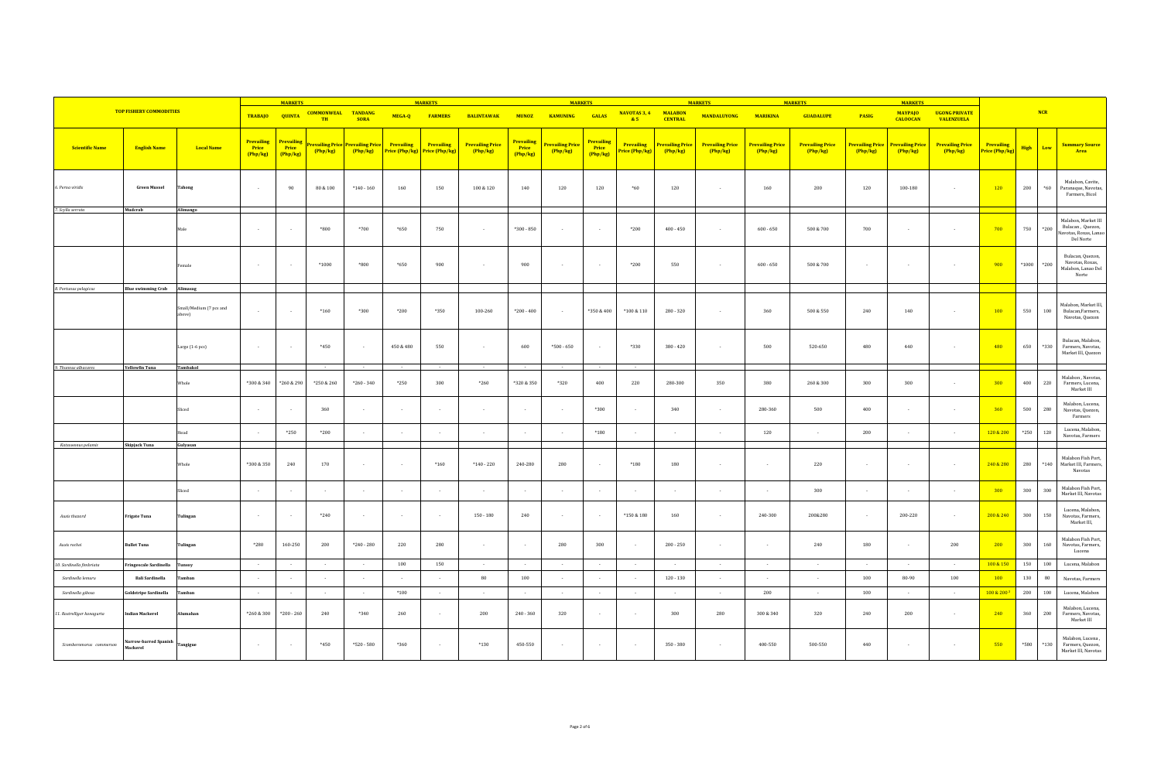|                            |                                   |                                   | <b>MARKETS</b>                       |                                        |                                          |                                     | <b>MARKETS</b>                      |                                     |                                     | <b>MARKETS</b>                       |                                     |                                      |                                     | <b>MARKETS</b>                    |                                   | <b>MARKETS</b>                    |                                   | <b>MARKETS</b>             |                                   |                                           |                              |         |            |                                                                               |
|----------------------------|-----------------------------------|-----------------------------------|--------------------------------------|----------------------------------------|------------------------------------------|-------------------------------------|-------------------------------------|-------------------------------------|-------------------------------------|--------------------------------------|-------------------------------------|--------------------------------------|-------------------------------------|-----------------------------------|-----------------------------------|-----------------------------------|-----------------------------------|----------------------------|-----------------------------------|-------------------------------------------|------------------------------|---------|------------|-------------------------------------------------------------------------------|
|                            | <b>TOP FISHERY COMMODITIES</b>    |                                   | TRABAJO QUINTA                       |                                        | <b>COMMONWEAL TANDANG</b><br>TH          | <b>SORA</b>                         | MEGA-Q                              | <b>FARMERS</b>                      | <b>BALINTAWAK</b>                   | <b>MUNOZ</b>                         | <b>KAMUNING</b>                     | <b>GALAS</b>                         | NAVOTAS 3, 4<br>85                  | <b>MALABON</b><br><b>CENTRAL</b>  | <b>MANDALUYONG</b>                | <b>MARIKINA</b>                   | <b>GUADALUPE</b>                  | PASIG                      | <b>MAYPAJO</b><br><b>CALOOCAN</b> | <b>UGONG PRIVATE</b><br><b>VALENZUELA</b> |                              |         | NCR        |                                                                               |
| <b>Scientific Name</b>     | <b>English Name</b>               | <b>Local Name</b>                 | <b>Prevailing</b><br>Price<br>Php/kg | <b>Prevailing</b><br>Price<br>(Php/kg) | <mark>revailing Price</mark><br>(Php/kg) | <b>Prevailing Price</b><br>(Php/kg) | <b>Prevailing</b><br>Price (Php/kg) | Prevailing<br><b>Price (Php/kg)</b> | <b>Prevailing Price</b><br>(Php/kg) | <b>Prevailing</b><br>Price<br>Php/kg | <b>Prevailing Price</b><br>(Php/kg) | <b>Prevailing</b><br>Price<br>Php/kg | <b>Prevailing</b><br>Price (Php/kg) | <b>Prevailing Price</b><br>Php/kg | <b>Prevailing Price</b><br>Php/kg | <b>Prevailing Price</b><br>Php/kg | <b>Prevailing Price</b><br>Php/kg | Prevailing Price<br>Php/kg | <b>Prevailing Price</b><br>Php/kg | <b>Prevailing Price</b><br>Php/kg         | Prevailing<br>Price (Php/kg) | High    | Low        | <b>Summary Source</b><br>Area                                                 |
| 6. Perna viridis           | <b>Green Mussel</b>               | Tahong                            | $\sim$                               | 90                                     | 80 & 100                                 | $*140 - 160$                        | 160                                 | 150                                 | 100 & 120                           | 140                                  | 120                                 | 120                                  | $*60$                               | 120                               | $\sim$                            | 160                               | 200                               | 120                        | 100-180                           | $\sim$                                    | 120                          | $200\,$ | $\rm ^*60$ | Malabon, Cavite,<br>Paranaque, Navotas<br>Farmers, Bicol                      |
| 7. Scylla serrata          | Mudcrab                           | Alimango                          |                                      |                                        |                                          |                                     |                                     |                                     |                                     |                                      |                                     |                                      |                                     |                                   |                                   |                                   |                                   |                            |                                   |                                           |                              |         |            |                                                                               |
|                            |                                   | Male                              | $\sim$                               |                                        | $*800$                                   | $*700$                              | $*650$                              | 750                                 |                                     | $*300 - 850$                         | $\overline{a}$                      |                                      | $*200$                              | $400 - 450$                       | $\sim$                            | $600 - 650$                       | 500 & 700                         | 700                        |                                   | $\sim$                                    | 700                          | 750     | $*200$     | Malabon, Market III<br>Bulacan, Quezon,<br>Navotas, Roxas, Lanao<br>Del Norte |
|                            |                                   | Female                            | $\sim$                               |                                        | $*1000$                                  | $*800$                              | *650                                | 900                                 |                                     | 900                                  | $\overline{a}$                      | ٠.                                   | $*200$                              | 550                               | $\sim$                            | $600 - 650$                       | 500 & 700                         |                            | $\overline{\phantom{a}}$          | $\sim$                                    | 900                          | $*1000$ | *200       | Bulacan, Quezon,<br>Navotas, Roxas,<br>Malabon, Lanao Del<br>Norte            |
| 8. Portunus pelagicus      | <b>Blue swimming Crab</b>         | Alimasag                          |                                      |                                        |                                          |                                     |                                     |                                     |                                     |                                      |                                     |                                      |                                     |                                   |                                   |                                   |                                   |                            |                                   |                                           |                              |         |            |                                                                               |
|                            |                                   | Small/Medium (7 pcs and<br>above) | $\sim$                               |                                        | $*160$                                   | *300                                | $*200$                              | *350                                | 100-260                             | $*200 - 400$                         | $\sim$                              | $*350 & 400$                         | $*100 & 110$                        | 280 - 320                         | $\sim$                            | 360                               | 500 & 550                         | 240                        | 140                               | $\sim$                                    | 100                          | 550     | 100        | Malabon, Market III,<br>Bulacan, Farmers,<br>Navotas, Quezon                  |
|                            |                                   | Large (1-6 pcs)                   | $\sim$                               |                                        | $*450$                                   | $\sim$                              | 450 & 480                           | 550                                 |                                     | 600                                  | $*500 - 650$                        |                                      | $*330$                              | $380 - 420$                       | $\sim$                            | 500                               | 520-650                           | 480                        | 440                               | $\sim$                                    | 480                          | 650     | $*330$     | Bulacan, Malabon,<br>Farmers, Navotas,<br>Market III, Quezon                  |
| 9. Thunnus albacares       | <b>Yellowfin Tuna</b>             | Tambakol                          |                                      |                                        |                                          |                                     |                                     |                                     |                                     |                                      |                                     |                                      |                                     |                                   |                                   |                                   |                                   |                            |                                   |                                           |                              |         |            |                                                                               |
|                            |                                   | Whole                             | *300 & 340                           | *260 & 290                             | *250 & 260                               | $*260 - 340$                        | $*250$                              | 300                                 | $*260$                              | *320 & 350                           | $*320$                              | 400                                  | 220                                 | 280-300                           | 350                               | 380                               | 260 & 300                         | 300                        | 300                               | $\sim$                                    | 300                          | 400     | 220        | Malabon, Navotas,<br>Farmers, Lucena,<br>Market III                           |
|                            |                                   | Sliced                            | $\sim$                               |                                        | 360                                      | $\sim$                              | $\overline{\phantom{a}}$            | $\sim$                              | $\sim$                              | $\sim$                               | $\sim$                              | $*300$                               | $\sim$                              | 340                               | $\sim$                            | 280-360                           | 500                               | 400                        | $\overline{\phantom{a}}$          | $\sim$                                    | 360                          | 500     | 280        | Malabon, Lucena,<br>Navotas, Quezon,<br>Farmers                               |
|                            |                                   | Head                              | $\sim$                               | $*250$                                 | $*200$                                   | $\sim$                              |                                     | $\sim$                              |                                     | $\overline{\phantom{a}}$             | $\sim$                              | $*180$                               |                                     | $\sim$                            |                                   | 120                               | $\sim$                            | 200                        |                                   | $\sim$                                    | 120 & 200                    | $*250$  | 120        | Lucena, Malabon,<br>Navotas, Farmers                                          |
| Katsuwonus pelamis         | <b>Skipjack Tuna</b>              | Gulyasan                          |                                      |                                        |                                          |                                     |                                     |                                     |                                     |                                      |                                     |                                      |                                     |                                   |                                   |                                   |                                   |                            |                                   |                                           |                              |         |            |                                                                               |
|                            |                                   | Whole                             | *300 & 350                           | 240                                    | 170                                      | $\sim$                              | $\overline{\phantom{a}}$            | $*160$                              | $*140 - 220$                        | 240-280                              | 280                                 |                                      | $*180$                              | 180                               | $\sim$                            | $\overline{\phantom{a}}$          | 220                               | $\sim$                     | $\overline{\phantom{a}}$          | $\sim$                                    | 240 & 280                    | 280     | $*140$     | Malabon Fish Port,<br>Market III, Farmers,<br>Navotas                         |
|                            |                                   | Sliced                            |                                      |                                        |                                          | $\sim$                              |                                     | $\overline{\phantom{a}}$            |                                     | $\overline{\phantom{a}}$             | $\overline{\phantom{a}}$            |                                      |                                     | $\sim$                            | $\sim$                            | $\sim$                            | 300                               |                            | $\overline{\phantom{a}}$          | $\sim$                                    | 300                          | 300     | 300        | Malabon Fish Port,<br>Market III, Navotas                                     |
| Auxis thazard              | Frigate Tuna                      | Tulingan                          | $\sim$                               |                                        | $*240$                                   | $\sim$                              | $\overline{\phantom{a}}$            | $\sim$                              | $150 - 180$                         | 240                                  | $\sim$                              |                                      | $*150 & 180$                        | 160                               | $\sim$                            | 240-300                           | 200&280                           | $\sim$                     | 200-220                           | $\sim$                                    | 200 & 240                    | 300     | 150        | Lucena, Malabon,<br>Navotas, Farmers,<br>Market III,                          |
| Auxis rochei               | <b>Bullet Tuna</b>                | Tulingan                          | *280                                 | 160-250                                | 200                                      | $*240 - 280$                        | 220                                 | 280                                 |                                     | $\overline{\phantom{a}}$             | 280                                 | 300                                  |                                     | $200 - 250$                       |                                   | $\overline{\phantom{a}}$          | 240                               | 180                        |                                   | 200                                       | 200                          | 300     | 160        | Malabon Fish Port,<br>Navotas, Farmers,<br>Lucena                             |
| 10. Sardinella fimbriata   | Fringescale Sardinella            | Tunsoy                            | $\sim$                               | $\sim$                                 | $\sim$                                   | $\sim$                              | 100                                 | 150                                 | $\sim$                              | $\sim$                               | $\sim$                              | $\sim$                               | $\sim$ $-$                          | $\sim$ 100 $\mu$                  | $\sim$                            | $\sim$                            | $\sim$ $-$                        | $\sim$ 100 $\mu$           | $\sim$                            | $\sim$                                    | 100 & 150                    | 150     | 100        | Lucena, Malabon                                                               |
| Sardinella lemuru          | <b>Bali Sardinella</b>            | Tamban                            |                                      |                                        |                                          |                                     |                                     |                                     | $80\,$                              | 100                                  | $\sim$                              |                                      |                                     | $120 - 130$                       |                                   | $\cdot$                           | $\sim$                            | 100                        | 80-90                             | 100                                       | 100                          | 130     | $80\,$     | Navotas, Farmers                                                              |
| Sardinella gibosa          | <b>Goldstripe Sardinella</b>      | Tamhan                            | $\sim$                               | $\sim$                                 | $\sim$                                   | $\sim$                              | $*100$                              | $\sim$                              | $\sim$                              | $\overline{\phantom{a}}$             | $\sim$                              | $\sim$                               | $\sim$                              | $\sim$                            | $\sim$                            | 200                               | $\sim$                            | 100                        | $\overline{\phantom{a}}$          | $\sim$                                    | 100 & 200                    | 200     | 100        | Lucena, Malabon                                                               |
| 11. Rastrelliger kanagurta | Indian Mackerel                   | Alumahan                          | *260 & 300                           | $*200 - 260$                           | 240                                      | *340                                | 260                                 | $\sim$                              | 200                                 | $240 - 360$                          | 320                                 |                                      |                                     | 300                               | 280                               | 300 & 340                         | 320                               | 240                        | 200                               | $\sim$                                    | 240                          | 360     | 200        | Malabon, Lucena,<br>Farmers, Navotas,<br>Market III                           |
| Scomberomorus commerson    | Narrow-barred Spanish<br>Mackerel | Tangigue                          | $\sim$ 10 $\mu$                      |                                        | $*450$                                   | $*520 - 580$                        | *360                                | $\sim$                              | $*130$                              | 450-550                              | $\sim$                              |                                      |                                     | $350 - 380$                       |                                   | 400-550                           | 500-550                           | 440                        |                                   | $\sim$                                    | 550                          | *580    | $*130$     | Malabon, Lucena,<br>Farmers, Quezon,<br>Market III, Navotas                   |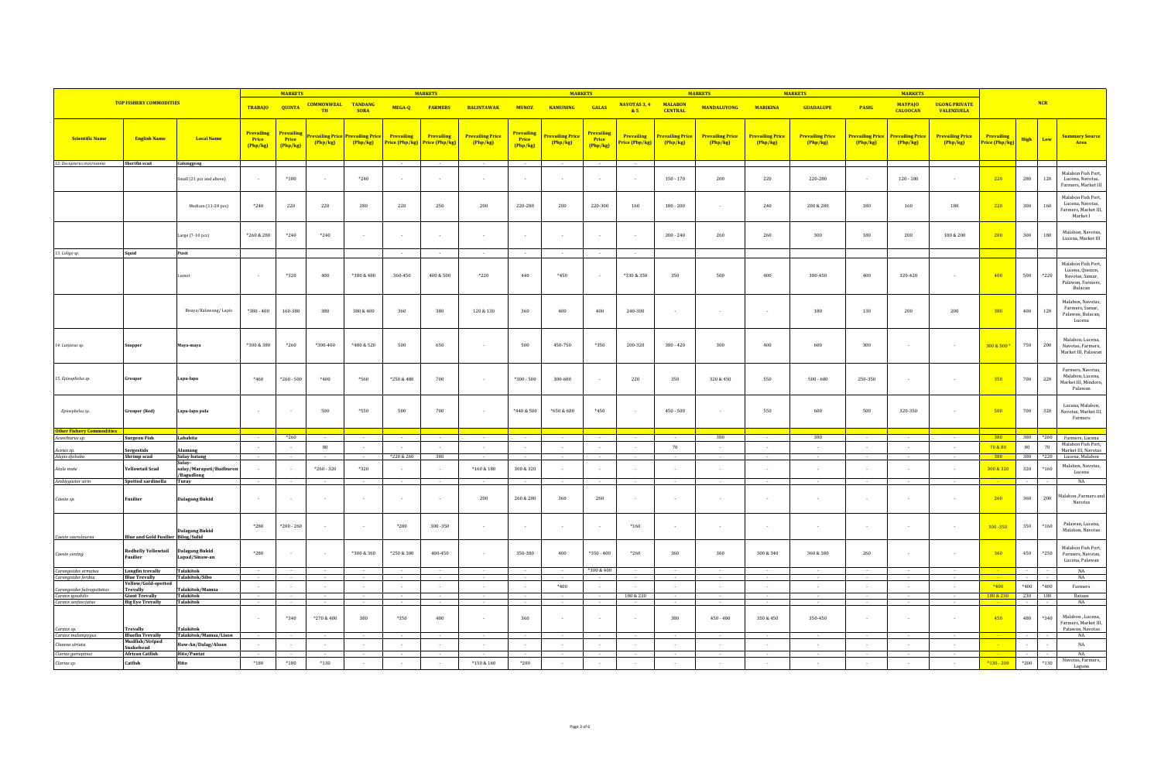|                                               |                                                  |                                             |                                        | <b>MARKETS</b>                                |                                        |                               |                          | <b>MARKETS</b>                                     |                                   |                                        | <b>MARKETS</b>               |                                 |                             |                                     | <b>MARKETS</b>                      |                                     | <b>MARKETS</b>                      |                                     | <b>MARKETS</b>                      |                                           |                              |          |                                                                      |                                                                                          |
|-----------------------------------------------|--------------------------------------------------|---------------------------------------------|----------------------------------------|-----------------------------------------------|----------------------------------------|-------------------------------|--------------------------|----------------------------------------------------|-----------------------------------|----------------------------------------|------------------------------|---------------------------------|-----------------------------|-------------------------------------|-------------------------------------|-------------------------------------|-------------------------------------|-------------------------------------|-------------------------------------|-------------------------------------------|------------------------------|----------|----------------------------------------------------------------------|------------------------------------------------------------------------------------------|
|                                               | <b>TOP FISHERY COMMODITIES</b>                   |                                             |                                        |                                               | TRABAJO QUINTA COMMONWEAL<br><b>TH</b> | <b>TANDANG</b><br><b>SORA</b> |                          | MEGA-Q FARMERS                                     | <b>BALINTAWAK</b>                 | <b>MUNOZ</b>                           | <b>KAMUNING</b>              | <b>GALAS</b>                    | NAVOTAS 3, 4<br>85          | <b>MALABON</b><br><b>CENTRAL</b>    | <b>MANDALUYONG</b>                  | <b>MARIKINA</b>                     | <b>GUADALUPE</b>                    | <b>PASIG</b>                        | <b>MAYPAJO</b><br><b>CALOOCAN</b>   | <b>UGONG PRIVATE</b><br><b>VALENZUELA</b> |                              | NCR      |                                                                      |                                                                                          |
| <b>Scientific Name</b>                        | <b>English Name</b>                              | <b>Local Name</b>                           | <b>Prevailing</b><br>Price<br>(Php/kg) | <mark>Prevailin</mark> g<br>Price<br>(Php/kg) | revailing Price<br>(Php/kg)            | Prevailing Price<br>(Php/kg)  | Prevailing               | Prevailing<br><b>Price (Php/kg)</b> Price (Php/kg) | <b>Prevailing Price</b><br>Php/kg | <b>Prevailing</b><br>Price<br>(Php/kg) | Prevailing Price<br>(Php/kg) | Prevailing<br>Price<br>(Php/kg) | Prevailing<br>rice (Php/kg) | <b>Prevailing Price</b><br>(Php/kg) | <b>Prevailing Price</b><br>(Php/kg) | <b>Prevailing Price</b><br>(Php/kg) | <b>Prevailing Price</b><br>(Php/kg) | <b>Prevailing Price</b><br>(Php/kg) | <b>Prevailing Price</b><br>(Php/kg) | <b>Prevailing Price</b><br>(Php/kg)       | Prevailing<br>Price (Php/kg) | High     | Low                                                                  | Summary Source<br>Area                                                                   |
| 12. Decapterus macrosoma                      | Shortfin scad                                    | Galunggong                                  |                                        |                                               |                                        |                               |                          |                                                    |                                   | $\sim$                                 |                              |                                 |                             |                                     |                                     |                                     |                                     |                                     |                                     |                                           |                              |          |                                                                      |                                                                                          |
|                                               |                                                  | mall (21 pcs and above)                     |                                        | $*180$                                        |                                        | $*240$                        |                          |                                                    |                                   |                                        |                              |                                 | $\sim$                      | $150 - 170$                         | $200\,$                             | 220                                 | 220-280                             | $\cdot$                             | $120 - 180$                         | $\mathbf{r}$                              | 220                          | 280      | Malabon Fish Port,<br>120<br>Lucena, Navotas,<br>Farmers, Market III |                                                                                          |
|                                               |                                                  | Medium (11-20 pcs)                          | $*240$                                 | 220                                           | 220                                    | 280                           | 220                      | 250                                                | $200\,$                           | 220-280                                | 280                          | 220-300                         | 160                         | $180 - 200$                         | $\sim$                              | 240                                 | 200 & 280                           | 180                                 | $160\,$                             | 180                                       | 220                          | 300      | 160<br>Farmers, Market III                                           | Malabon Fish Port.<br>Lucena, Navotas,<br>Market I                                       |
|                                               |                                                  | Large $(7-10 \text{ pcs})$                  | *260 & 280                             | $*240$                                        | $*240$                                 | $\sim$                        | $\sim$                   | $\sim$                                             | $\overline{\phantom{a}}$          | $\overline{\phantom{a}}$               | $\sim$                       | $\sim$                          | $\sim$                      | $200 - 240$                         | 260                                 | 260                                 | 300                                 | 180                                 | 200                                 | 180 & 200                                 | 200                          | 300      | 180                                                                  | Malabon, Navotas,<br>Lucena, Market III                                                  |
| 13. Loligo sp.                                | Squid                                            | Pusit                                       |                                        |                                               |                                        |                               | $\sim$                   | $\sim$                                             | $\overline{\phantom{a}}$          | $\sim$                                 | $\overline{\phantom{a}}$     | $\sim$                          | $\sim$                      |                                     |                                     |                                     |                                     |                                     |                                     |                                           |                              |          |                                                                      |                                                                                          |
|                                               |                                                  | Lumot                                       |                                        | *320                                          | 400                                    | *380 & 480                    | 360-450                  | $400\,\&\,500$                                     | $*220$                            | 440                                    | $*450$                       |                                 | *330 & 350                  | 350                                 | 500                                 | 400                                 | 380-450                             | 400                                 | 320-420                             |                                           | 400                          | 500      | $^*220$                                                              | Malabon Fish Port,<br>Lucena, Quezon,<br>Navotas, Samar.<br>Palawan, Farmers.<br>Bulacan |
|                                               |                                                  | Bisaya/Kalawang/Lapis                       | $*380 - 400$                           | 160-380                                       | 380                                    | $380\,\&\,400$                | 360                      | 380                                                | $120\,\&\,130$                    | 360                                    | $400\,$                      | 400                             | 240-300                     |                                     | $\sim$                              | $\sim$                              | 180                                 | 130                                 | $200\,$                             | 200                                       | 380                          | 400      | 120                                                                  | Malabon, Navotas,<br>Farmers, Samar,<br>Palawan, Bulacan,<br>Lucena                      |
| 14. Lutjanus sp.                              | Snapper                                          | Maya-maya                                   | *300 & 380                             | $*260$                                        | *300-400                               | *480 & 520                    | 500                      | 650                                                | $\sim$                            | 500                                    | 450-750                      | *350                            | 200-320                     | $380 - 420$                         | 300                                 | 400                                 | 600                                 | 300                                 | $\sim$                              | $\sim$                                    | 300 & 500 *                  | 750      | 200                                                                  | Malabon, Lucena,<br>Navotas, Farmers,<br>Market III, Palawan                             |
| 15. Epinephelus sp.                           | Grouper                                          | Lapu-lapu                                   | $*460$                                 | $*260 - 500$                                  | $*400$                                 | *560                          | $*250 & 480$             | 700                                                | $\sim$                            | $*300 - 500$                           | 300-680                      |                                 | 220                         | 350                                 | 320 & 450                           | 550                                 | $500 - 600$                         | 250-350                             | $\sim$                              | $\sim$                                    | 350                          | 700      | 220                                                                  | Farmers, Navotas,<br>Malabon, Lucena,<br>Market III, Mindoro,<br>Palawan                 |
| Epinephelus sp.                               | <b>Grouper</b> (Red)                             | Lapu-lapu pula                              |                                        | $\overline{\phantom{a}}$                      | 500                                    | $\boldsymbol{^{*}550}$        | 500                      | 700                                                |                                   | *440 & 500                             | $^{\ast}650$ & 680           | $^{\ast}450$                    | $\sim$                      | $450 - 500$                         | $\sim$                              | 550                                 | 600                                 | 500                                 | 320-350                             | $\sim$                                    | 500                          | 700      | 320                                                                  | Lucena, Malabon,<br>Navotas, Market III,<br>Farmers                                      |
| ther Fishery Cor<br>odities<br>Acanthurus sp. | <b>Surgeon Fish</b>                              | Labahita                                    |                                        | $*260$                                        |                                        |                               |                          |                                                    |                                   |                                        |                              |                                 |                             |                                     | 380                                 |                                     | 380                                 |                                     |                                     |                                           | 380                          | 380 *260 |                                                                      | Farmers, Lucena                                                                          |
| Acetes sp.                                    | Sergestids                                       | Alamang                                     |                                        | $\sim$                                        | 80                                     |                               |                          |                                                    |                                   |                                        |                              |                                 | $\sim$                      | 70                                  |                                     | $\sim$                              | $\sim$                              | $\cdot$                             | $\sim$                              | $\sim$                                    | 70 & 80                      | 80       | Malabon Fish Port.<br>70<br>Market III, Navotas                      |                                                                                          |
| Alepis djebaba                                | Shrimp scad                                      | Salay batang<br>Salay-                      |                                        |                                               |                                        |                               | *220 & 260               | 380                                                |                                   |                                        |                              |                                 |                             |                                     |                                     |                                     |                                     |                                     |                                     |                                           | 380                          | 380      | $*220$                                                               | Lucena, Malabon                                                                          |
| Atule mate                                    | <b>Yellowtail Scad</b>                           | salay/Marapati/Budburor<br>/Bagudlong       |                                        | $\sim$                                        | $*260 - 320$                           | *320                          |                          |                                                    | $^*160\ \&\ 180$                  | 300 & 320                              |                              |                                 |                             |                                     |                                     |                                     |                                     |                                     |                                     |                                           | 300 & 320                    | 320      | $*160$                                                               | Malabon, Navotas,<br>Lucena                                                              |
| Ambiygaster sirm                              | Spotted sardinella                               | Turay                                       | $\sim$ $-$                             | $\sim 10^{-1}$                                |                                        |                               |                          |                                                    |                                   |                                        |                              |                                 | $\sim$                      |                                     | $\sim$                              | $\sim$                              |                                     | $\sim$                              |                                     | $\sim$                                    |                              |          |                                                                      | <b>NA</b>                                                                                |
| Caesio sp.                                    | Fusilier                                         | <b>Dalagang Bukid</b>                       |                                        | $\sim$                                        |                                        |                               |                          |                                                    | 200                               | 260 & 280                              | 360                          | 260                             | $\sim$                      |                                     | $\sim$                              |                                     |                                     | $\sim$                              |                                     | $\sim$                                    | 260                          | 360      | 200                                                                  | falabon ,Farmers and<br>Navotas                                                          |
| Caesio caerulaure                             | <b>Blue and Gold Fusilier Bilog/Sulid</b>        | <b>Dalagang Bukid</b>                       | *280                                   | $*200 - 260$                                  | $\sim$                                 | $\sim$                        | *280                     | 300-350                                            | $\overline{\phantom{a}}$          | $\sim$                                 | $\sim$                       | $\sim$                          | $*160$                      | $\sim$                              | $\sim$                              | $\sim$                              | $\sim$                              | $\sim$                              | $\sim$                              | $\sim$                                    | $300 - 350$                  | 350      | $*160$                                                               | Palawan, Lucena,<br>Malabon, Navotas                                                     |
| Caesio cuning                                 | <b>Redbelly Yellowtail</b><br>Fusilier           | <b>Dalagang Bukid</b><br>Lapad/Sinaw-an     | $^*280$                                | $\sim$                                        |                                        | $*300 & 360$                  | $*250 & 300$             | 400-450                                            |                                   | 350-380                                | 400                          | $*350 - 400$                    | $*260$                      | 360                                 | 360                                 | 300 & 340                           | 360 & 380                           | 260                                 |                                     | $\sim$                                    | 360                          | 450      | *250                                                                 | Malabon Fish Port,<br>Farmers, Navotas,<br>Lucena, Palawan                               |
| Carangoides armatus<br>Carangoides ferdau     | Longfin trevally<br><b>Blue Trevally</b>         | Talakitok<br>Talakitok/Sibo                 |                                        |                                               |                                        |                               |                          |                                                    |                                   |                                        |                              | *300 & 400                      |                             |                                     |                                     |                                     |                                     |                                     |                                     |                                           |                              |          |                                                                      | $_{\rm NA}$<br>NA                                                                        |
| Carangoides fulvogutto                        | Yellow/Gold-spotted<br><b>Trevally</b>           | Talakitok/Mamsa                             | $\sim$                                 | $\sim$                                        | $\overline{a}$                         | $\sim$                        | $\sim$                   | $\sim$                                             | $\sim$                            | $\sim$                                 | $*400$                       | $\sim$                          | $\sim$                      | $\sim$                              | $\sim$                              | $\sim$                              | $\sim$                              | $\sim$                              | $\sim$                              | $\sim$                                    | $*400$                       | $*400$   | *400                                                                 | Farmers                                                                                  |
| Caranx ignobilis<br>Caranx sexfasciatus       | <b>Giant Trevally</b><br><b>Big Eye Trevally</b> | <b>Talakitok</b><br><b>Talakitok</b>        | $\sim$                                 | $\sim 10^{-1}$                                | $\sim$                                 | $\sim$                        | $\sim$                   | $\sim$                                             | $\sim$                            | $\sim$                                 |                              | $\sim$                          | 180 & 230                   | $\sim$                              | $\sim$                              | $\sim$                              | $\sim$                              | $\sim 10^{-1}$                      | $\sim$                              | $\sim$                                    | 180 & 230                    | 230 180  |                                                                      | Bataan<br>NA                                                                             |
| Caranx sp.                                    | <b>Trevally</b>                                  | Talakitok                                   |                                        | *340                                          | *270 & 400                             | 380                           | *350                     | 480                                                |                                   | 360                                    |                              |                                 |                             | 380                                 | $450 - 480$                         | 350 & 450                           | 350-450                             |                                     |                                     |                                           | 450                          | 480      | *340<br>Farmers, Market III,                                         | Malabon, Lucena,<br>Palawan, Navotas                                                     |
| Caranx melampygu:<br>Channa striata           | <b>Bluefin Trevally</b><br>Mudfish/Striped       | Talakitok/Mamsa/Lison<br>Haw-An/Dalag/Aluan | $\sim$                                 | $\sim$                                        | $\sim$                                 | $\sim$                        | $\overline{\phantom{a}}$ | $\sim$                                             | $\overline{\phantom{a}}$          | $\sim$                                 | $\sim$                       | $\sim$                          | $\sim$                      | $\sim$                              | $\sim$                              | $\sim$                              | $\sim$                              | $\sim$                              | $\sim$                              | $\sim$                                    |                              |          |                                                                      | NA<br>$_{\rm NA}$                                                                        |
|                                               | Snakehead<br><b>African Catfish</b>              | Hito/Pantat                                 |                                        |                                               |                                        |                               |                          |                                                    |                                   |                                        |                              |                                 | $\sim$                      |                                     |                                     |                                     |                                     |                                     |                                     | $\sim$                                    |                              |          |                                                                      | NA                                                                                       |
| Clarias gariepinus                            |                                                  |                                             |                                        |                                               |                                        |                               |                          |                                                    |                                   |                                        |                              |                                 |                             |                                     |                                     |                                     |                                     |                                     |                                     |                                           |                              |          |                                                                      | Navotas, Farmers,                                                                        |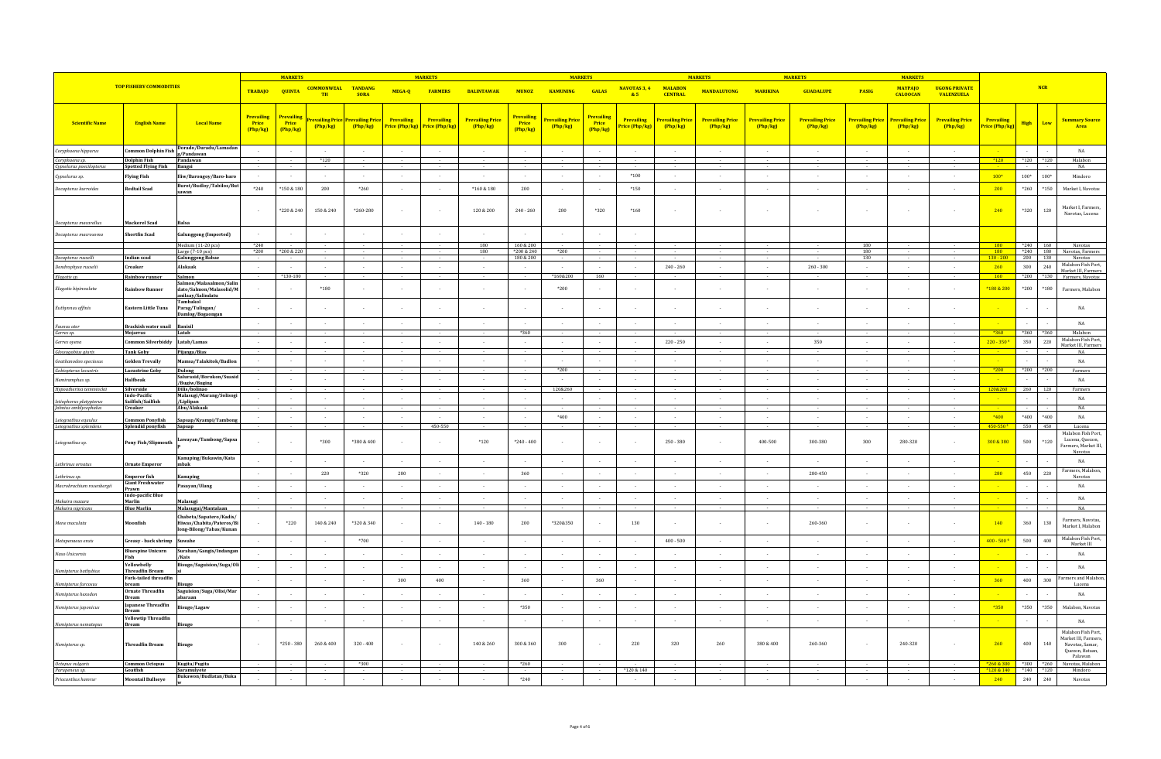|                                                  |                                                        |                                                                                |                                 | <b>MARKETS</b>                  |                                 |                           |                              | <b>MARKET</b>                |                                   |                                          | <b>MARKETS</b>                     |                                               |                                          |                                   | <b>MARKET</b>                     |                                   | <b>MARKETS</b>                      |                                     | <b>MARKET</b>                     |                                           |                             |                   |              |                                                                                             |
|--------------------------------------------------|--------------------------------------------------------|--------------------------------------------------------------------------------|---------------------------------|---------------------------------|---------------------------------|---------------------------|------------------------------|------------------------------|-----------------------------------|------------------------------------------|------------------------------------|-----------------------------------------------|------------------------------------------|-----------------------------------|-----------------------------------|-----------------------------------|-------------------------------------|-------------------------------------|-----------------------------------|-------------------------------------------|-----------------------------|-------------------|--------------|---------------------------------------------------------------------------------------------|
|                                                  | <b>TOP FISHERY COMMODITIES</b>                         |                                                                                | <b>TRABAJO</b>                  | <b>QUINTA</b>                   | <b>COMMONWEAL TANDANG</b><br>TH | <b>SORA</b>               | MEGA-Q                       | <b>FARMERS</b>               | <b>BALINTAWAK</b>                 | <b>MUNOZ</b>                             | <b>KAMUNING</b>                    | <b>GALAS</b>                                  | NAVOTAS 3, 4<br>8.5                      | <b>MALABON</b><br><b>CENTRAL</b>  | <b>MANDALUYONG</b>                | <b>MARIKINA</b>                   | <b>GUADALUPE</b>                    | PASIG                               | <b>MAYPAJO</b><br><b>CALOOCAN</b> | <b>UGONG PRIVATE</b><br><b>VALENZUELA</b> |                             | <b>NCR</b>        |              |                                                                                             |
| <b>Scientific Name</b>                           | <b>English Name</b>                                    | <b>Local Name</b>                                                              | Prevailing<br>Price<br>(Php/kg) | Prevailing<br>Price<br>(Php/kg) | evailing Price<br>(Php/kg)      | revailing Price<br>Php/kg | Prevailing<br>Price (Php/kg) | Prevailing<br>Price (Php/kg) | <b>Prevailing Price</b><br>Php/kg | Prevailing<br>Price<br>(Php/kg)          | Prevailing Price<br>Php/kg         | <mark>Prevailin</mark> g<br>Price<br>(Php/kg) | Prevailing<br><mark>'rice (Php/kg</mark> | <b>Prevailing Price</b><br>Php/kg | <b>Prevailing Price</b><br>Php/kg | <b>Prevailing Price</b><br>Php/kg | <b>Prevailing Price</b><br>(Php/kg) | <b>Prevailing Price</b><br>(Php/kg) | <b>Prevailing Price</b><br>Php/kg | <b>Prevailing Price</b><br>Php/kg         | Prevailing<br>Price (Php/kg | <b>High</b>       | Low          | <b>Summary Source</b><br>Area                                                               |
|                                                  |                                                        | Dorado/Duradu/Lamadan                                                          |                                 |                                 |                                 |                           |                              |                              |                                   |                                          |                                    |                                               |                                          |                                   |                                   |                                   |                                     |                                     |                                   |                                           |                             |                   |              | NA                                                                                          |
| Coryphaena hippurus<br>Coryphaena sp.            | Common Dolphin Fish<br><b>Dolphin Fish</b>             | g/Pandawan<br>Pandawan                                                         |                                 | $\sim$                          | $*120$                          | $\sim$                    |                              | $\sim$                       | $\overline{\phantom{a}}$          | $\sim$                                   | $\sim$                             |                                               | $\sim$                                   | $\sim$                            | $\sim$                            | $\sim$                            | $\sim$                              | $\sim$                              | $\sim$                            | $\sim$                                    | $*120$                      | $*120$ $*120$     |              | Malabon                                                                                     |
| Cypselurus poecilopterus                         | <b>Spotted Flying Fish</b>                             | Bangsi                                                                         |                                 |                                 |                                 |                           |                              |                              |                                   |                                          |                                    |                                               |                                          |                                   |                                   |                                   |                                     |                                     |                                   |                                           |                             |                   |              | NA                                                                                          |
| Cypselurus sp.                                   | <b>Flying Fish</b>                                     | Iliw/Barongoy/Baro-baro                                                        | $\sim$                          | $\sim$                          | $\sim$                          | $\sim$                    | $\overline{a}$               | $\sim$                       | $\sim$                            | $\overline{\phantom{a}}$                 | $\sim$                             | $\sim$                                        | $*100$                                   | $\sim$                            | $\sim$                            | $\sim$                            | $\sim$ $-$                          | $\sim$                              | $\sim$                            | $\sim$                                    | $100*$                      | $100*$            | $100*$       | Mindoro                                                                                     |
| Decapterus kurroides                             | Redtail Scad                                           | Burot/Budloy/Tabilos/But<br>sawan                                              | *240                            | *150 & 180                      | 200                             | $*260$                    | $\overline{\phantom{a}}$     | $\sim$                       | *160 & 180                        | 200                                      | $\sim$                             |                                               | $*150$                                   | $\sim$                            | $\sim$                            | $\overline{a}$                    | $\sim$                              | $\sim$                              | $\overline{\phantom{a}}$          | $\sim$                                    | 200                         | *260              | *150         | Market I, Navotas                                                                           |
|                                                  |                                                        |                                                                                |                                 | *220 & 240                      | 150 & 240                       | $*260 - 280$              |                              |                              | 120 & 200                         | $240 - 260$                              | 280                                | *320                                          | $*160$                                   |                                   |                                   |                                   |                                     |                                     |                                   |                                           | 240                         | $*320$            | 120          | Market I, Farmers,<br>Navotas, Lucena                                                       |
| Decapterus macarellus                            | Mackerel Scad                                          |                                                                                |                                 |                                 |                                 |                           |                              |                              |                                   |                                          |                                    |                                               |                                          |                                   |                                   |                                   |                                     |                                     |                                   |                                           |                             |                   |              |                                                                                             |
| Decapterus macrosoma                             | hortfin Scad                                           | lunggong (Imported)                                                            | $*240$                          |                                 |                                 |                           |                              |                              | 180                               | 160 & 200                                |                                    |                                               |                                          |                                   |                                   |                                   |                                     | 180                                 |                                   |                                           | 180                         | *240 160          |              |                                                                                             |
|                                                  |                                                        | Medium (11-20 pcs)<br>Large (7-10 pcs)                                         | *200                            | *200 & 220                      |                                 |                           |                              |                              | 180                               | 200 & 240                                | *200                               |                                               |                                          |                                   |                                   |                                   |                                     | 180                                 |                                   |                                           | 180                         | $*240$            |              | Navotas<br>180 Navotas, Farmers                                                             |
| Decapterus russelli                              | Indian scad                                            | <b>Galunggong Babae</b><br><b>Makaak</b>                                       |                                 |                                 |                                 |                           |                              |                              |                                   | 180 & 200                                |                                    |                                               |                                          | $240 - 260$                       |                                   |                                   | $260 - 300$                         | 130                                 |                                   |                                           | $130 - 200$<br>260          | 200<br>$300\,$    | 130<br>240   | Navotas<br>Malabon Fish Port.                                                               |
| )endrophysa russelii<br>Elagatis sp.             | `roaker<br>Rainbow runner                              | Salmon                                                                         |                                 | *130-180                        |                                 |                           |                              |                              |                                   |                                          | *160&200                           | 160                                           |                                          |                                   |                                   |                                   |                                     |                                     |                                   |                                           | <b>160</b>                  | $*200$ $*130$     |              | Market III, Farmers<br>Farmers, Navotas                                                     |
| Elagatis bipinnulata                             | tainhow Runner                                         | Salmon/Malasalmon/Salir<br>dato/Salmon/Malasolid/M<br>anilaay/Salindatu        |                                 |                                 | $*180$                          |                           |                              |                              |                                   |                                          | *200                               |                                               |                                          |                                   |                                   |                                   |                                     |                                     |                                   |                                           | *180 & 200                  | $*200$            | $^*180$      | Farmers, Malabor                                                                            |
| Euthynnus affinis                                | iastern Little Tuna                                    | <b>Cambakol</b><br>Parag/Tulingan/<br>Damlog/Bogaongan                         |                                 |                                 |                                 |                           |                              |                              |                                   |                                          |                                    |                                               |                                          |                                   |                                   |                                   |                                     |                                     |                                   |                                           |                             |                   |              | $_{\rm NA}$                                                                                 |
| Faunus ater<br>Gerres sp.                        | Brackish water snail<br>Mojarras                       | <b>Banisil</b><br>Latab                                                        |                                 |                                 |                                 | $\sim$                    |                              |                              | $\sim$                            | *360                                     |                                    |                                               | $\sim$                                   |                                   |                                   |                                   | $\sim$                              | $\sim$                              |                                   |                                           | $*360$                      | *360 *360         |              | $_{\rm NA}$<br>Malabon                                                                      |
| Gerres ovena                                     | Common Silverbiddy                                     | Latab/Lamas                                                                    |                                 |                                 |                                 | $\sim$                    |                              |                              |                                   |                                          |                                    |                                               |                                          | $220 - 250$                       |                                   |                                   | 350                                 |                                     |                                   |                                           | $220 - 350$                 | 350               | 220          | Malabon Fish Port,<br>Market III, Farmers                                                   |
| Glossogobius giuris                              | <b>Tank Goby</b>                                       | Pijanga/Bias                                                                   |                                 |                                 |                                 |                           |                              |                              |                                   |                                          |                                    |                                               |                                          |                                   |                                   |                                   |                                     |                                     |                                   |                                           |                             |                   |              | NA                                                                                          |
| Gnathanodon speciosus                            | <b>Golden Trevally</b>                                 | Mamsa/Talakitok/Badlon                                                         |                                 | $\sim$                          | $\sim$                          | $\sim$                    | $\sim$                       | $\sim$                       | $\sim$                            | $\overline{\phantom{a}}$                 | $\sim$                             |                                               | $\sim$                                   | $\sim$                            | $\sim$                            | $\sim$                            | $\sim$                              | $\sim$                              | $\overline{a}$                    | $\sim$                                    |                             |                   |              | <b>NA</b>                                                                                   |
| Gobiopterus lacustris<br>Hemiramphus sp          | <b>Lacustrine Goby</b><br>Halfbeak                     | Dulong<br>Salurasid/Borokon/Suasio                                             | $\sim$                          | $\sim$                          | $\sim$                          | $\sim$                    | $\sim$                       |                              | $\overline{\phantom{a}}$          | $\overline{\phantom{a}}$                 | $*200$<br>$\overline{\phantom{a}}$ |                                               | $\sim$                                   | $\sim$                            | $\sim$                            | $\overline{\phantom{a}}$          | $\sim$                              | $\sim$                              | $\sim$                            | $\sim$                                    | $*200$                      | *200 *200         |              | Farmers<br>NA                                                                               |
| Hypoatherina temminckii                          | Silverside                                             | Bugiw/Buging<br>Dilis/bolinao                                                  |                                 |                                 |                                 |                           |                              |                              |                                   |                                          | 120&260                            |                                               |                                          |                                   |                                   |                                   |                                     |                                     |                                   |                                           | 120&260                     | 260               | 120          | Farmers                                                                                     |
| Istiophorus platypterus<br>Johnius amblycephalus | <b>Indo-Pacific</b><br>Sailfish/Sailfish<br>Croaker    | Malasugi/Marang/Solisogi<br>/Liplipan<br>Abu/Alakaak                           |                                 |                                 | $\sim$                          | $\sim$                    |                              | $\overline{\phantom{a}}$     | $\overline{\phantom{a}}$          | $\overline{\phantom{a}}$                 |                                    |                                               | $\sim$                                   | $\sim$                            | $\sim$                            | $\overline{\phantom{a}}$          | $\sim$                              | $\sim$                              |                                   | $\sim$                                    |                             |                   |              | NA<br>NA                                                                                    |
| Leiognathus equulus<br>Leiognathus splendens     | ommon Ponyfish<br>Splendid ponyfish                    | Sapsap/Kyampi/Tambon<br>Sapsap                                                 |                                 |                                 |                                 | $\sim$                    |                              | 450-550                      |                                   | $\overline{\phantom{a}}$                 | $*400$                             |                                               |                                          | $\sim$                            |                                   | $\overline{\phantom{a}}$          | $\sim$                              | $\sim$                              | $\overline{\phantom{a}}$          |                                           | $*400$<br>450-550           | $*400$<br>550 450 | $*400$       | $_{\rm NA}$<br>Lucena                                                                       |
| Leiognathus sp.                                  | ony Fish/Slipmouth                                     | Lawayan/Tambong/Sapsa                                                          |                                 |                                 | *300                            | *380 & 400                |                              |                              | $*120$                            | $*240 - 400$                             |                                    |                                               |                                          | $250 - 380$                       |                                   | 400-500                           | 300-380                             | 300                                 | 280-320                           |                                           | 300 & 380                   | 500               | $^*120$      | Malabon Fish Port.<br>Lucena Quezon.<br>Farmers, Market III<br>Navotas                      |
| Lethrinus ornatus                                | <b>Ornate Emperor</b>                                  | Kanuping/Bukawin/Kata<br>mbak                                                  |                                 |                                 |                                 |                           |                              |                              |                                   |                                          |                                    |                                               |                                          |                                   |                                   |                                   |                                     |                                     |                                   |                                           |                             |                   |              | $_{\rm NA}$                                                                                 |
| Lethrinus sp.                                    | Emperor fish                                           | lanuping                                                                       |                                 |                                 | 220                             | $^{\ast}320$              | 280                          |                              |                                   | 360                                      |                                    |                                               |                                          |                                   |                                   |                                   | 280-450                             |                                     |                                   |                                           | 280                         | 450               | 220          | Farmers, Malabon<br>Navota:                                                                 |
| Macrobrachium rosenberaii                        | Giant Freshwater                                       | Pasayan/Ulang                                                                  |                                 |                                 |                                 | $\sim$                    |                              |                              |                                   |                                          | $\sim$                             |                                               |                                          | $\sim$                            |                                   |                                   | $\sim$                              |                                     |                                   |                                           |                             |                   |              | NA                                                                                          |
|                                                  | Prawn<br>Indo-pacific Blue                             |                                                                                |                                 |                                 |                                 |                           |                              |                              |                                   | $\sim$                                   |                                    |                                               |                                          |                                   |                                   |                                   | $\sim$                              |                                     |                                   |                                           |                             |                   |              | $_{\rm NA}$                                                                                 |
| Makaira mazara<br>Makaira nigricans              | Marlin<br><b>Blue Marlin</b>                           | Malasugi<br>Malasugui/Mantalaan                                                |                                 |                                 |                                 |                           |                              |                              |                                   |                                          |                                    |                                               |                                          |                                   |                                   |                                   |                                     |                                     |                                   |                                           |                             |                   |              | NA                                                                                          |
| Mene maculata                                    | oonfish                                                | Chabeta/Sapatero/Kadis/<br>Hiwas/Chabita/Pateros/Bi<br>long-Bilong/Tabas/Kunan |                                 | $^{\ast}220$                    | 140 & 240                       | *320 & 340                |                              |                              | $140 - 180$                       | 200                                      | *320&350                           |                                               | 130                                      |                                   |                                   |                                   | 260-360                             |                                     |                                   |                                           | 140                         | 360               | 130          | Farmers, Navotas,<br>Market I, Malabon                                                      |
| Metapenaeus ensis                                | Greasy - back shrimp                                   | suwah                                                                          |                                 |                                 |                                 | $*700$                    |                              |                              |                                   |                                          |                                    |                                               |                                          | $400 - 500$                       |                                   |                                   |                                     |                                     |                                   |                                           | $400 - 500$                 | 500               | 400          | Malabon Fish Port,<br>Market III                                                            |
| Naso Unicornis                                   | <b>Bluespine Unicorn</b><br>Fish                       | Surahan/Gangis/Indangar                                                        |                                 |                                 |                                 | $\sim$                    |                              |                              | $\sim$                            |                                          | $\sim$                             |                                               | $\sim$                                   | $\sim$                            | $\sim$                            | $\sim$                            | $\sim$                              |                                     |                                   | $\sim$                                    |                             |                   |              | NA                                                                                          |
| Nemipterus bathybius                             | <b>Yellowhelly</b><br><b>Threadfin Bream</b>           | Bisugo/Saguision/Suga/Oli                                                      |                                 |                                 | $\sim$                          | $\sim$                    |                              |                              |                                   | $\overline{\phantom{a}}$                 | $\sim$                             |                                               | $\sim$                                   | $\sim$                            | $\sim$                            | $\cdot$                           | $\sim$                              | $\sim$                              | $\overline{\phantom{a}}$          | $\sim$                                    |                             |                   |              | $_{\rm NA}$<br>Farmers and Malabor                                                          |
| Nemipterus furcost                               | Fork-tailed threadfin<br>bream                         | isugc                                                                          |                                 |                                 |                                 |                           | 300                          | 400                          |                                   | 360                                      |                                    | 360                                           |                                          |                                   |                                   |                                   | $\sim$                              |                                     |                                   |                                           | 360                         | 400               | 300          | Lucena                                                                                      |
| Nemipterus hexodon                               | <b>Ornate Threadfin</b><br>Bream<br>Japanese Threadfin | Saguision/Suga/Olisi/Mar<br>abaraan                                            |                                 | $\overline{a}$                  | $\sim$                          | $\sim$                    |                              |                              | $\sim$                            | $\overline{\phantom{a}}$<br>$^{\ast}350$ | $\sim$                             |                                               | $\sim$                                   | $\sim$                            | $\sim$                            | $\sim$                            | $\sim$<br>$\sim$                    | $\sim$                              | $\overline{\phantom{a}}$          | $\sim$                                    | *350                        | $^{\ast}350$      | $^{\ast}350$ | NA<br>Malabon, Navotas                                                                      |
| Nemipterus japonicus                             | Bream<br><b>Yellowtip Threadfin</b>                    | Bisugo/Lagaw                                                                   |                                 |                                 |                                 | $\sim$                    |                              |                              | $\sim$                            |                                          | $\sim$                             |                                               | $\sim$                                   | $\sim$                            |                                   |                                   |                                     |                                     |                                   |                                           |                             |                   |              |                                                                                             |
| Nemipterus nemat                                 | Bream                                                  |                                                                                |                                 |                                 |                                 | $\sim$                    |                              |                              |                                   |                                          | $\sim$                             |                                               |                                          | $\sim$                            |                                   | $\overline{\phantom{a}}$          | $\sim$                              |                                     |                                   |                                           |                             |                   |              | $_{\rm NA}$                                                                                 |
| Nemipterus sp.                                   | <b>Threadfin Bream</b>                                 | sug                                                                            |                                 | $*250 - 380$                    | 260 & 400                       | $320 - 400$               |                              |                              | 140 & 260                         | 300 & 360                                | 300                                |                                               | $220\,$                                  | $320\,$                           | 260                               | 380 & 400                         | 260-360                             |                                     | 240-320                           |                                           | 260                         | 400               | 140          | Malabon Fish Port,<br>Market III, Farmers,<br>Navotas, Samar,<br>Quezon, Bataan,<br>Palawan |
| Octopus vulgaris<br>Parupeneus sp.               | Common Octopus<br>Goatfish                             | Kugita/Pugita<br>Saramulyete                                                   |                                 |                                 |                                 | $*300$                    |                              |                              |                                   | $*260$                                   |                                    |                                               | *120 & 140                               |                                   |                                   |                                   |                                     |                                     |                                   |                                           | $*260 & 300$                | $*140$ $*120$     |              | *300 *260 Navotas, Malabon<br>Mindoro                                                       |
| Priacanthus hamrur                               | Moontail Bullseye                                      | Bukawon/Budlatan/Buka                                                          |                                 |                                 |                                 |                           |                              |                              |                                   | $*240$                                   |                                    |                                               |                                          |                                   |                                   |                                   |                                     |                                     |                                   |                                           | 240                         | 240               | 240          | Navotas                                                                                     |
|                                                  |                                                        |                                                                                |                                 |                                 |                                 |                           |                              |                              |                                   |                                          |                                    |                                               |                                          |                                   |                                   |                                   |                                     |                                     |                                   |                                           |                             |                   |              |                                                                                             |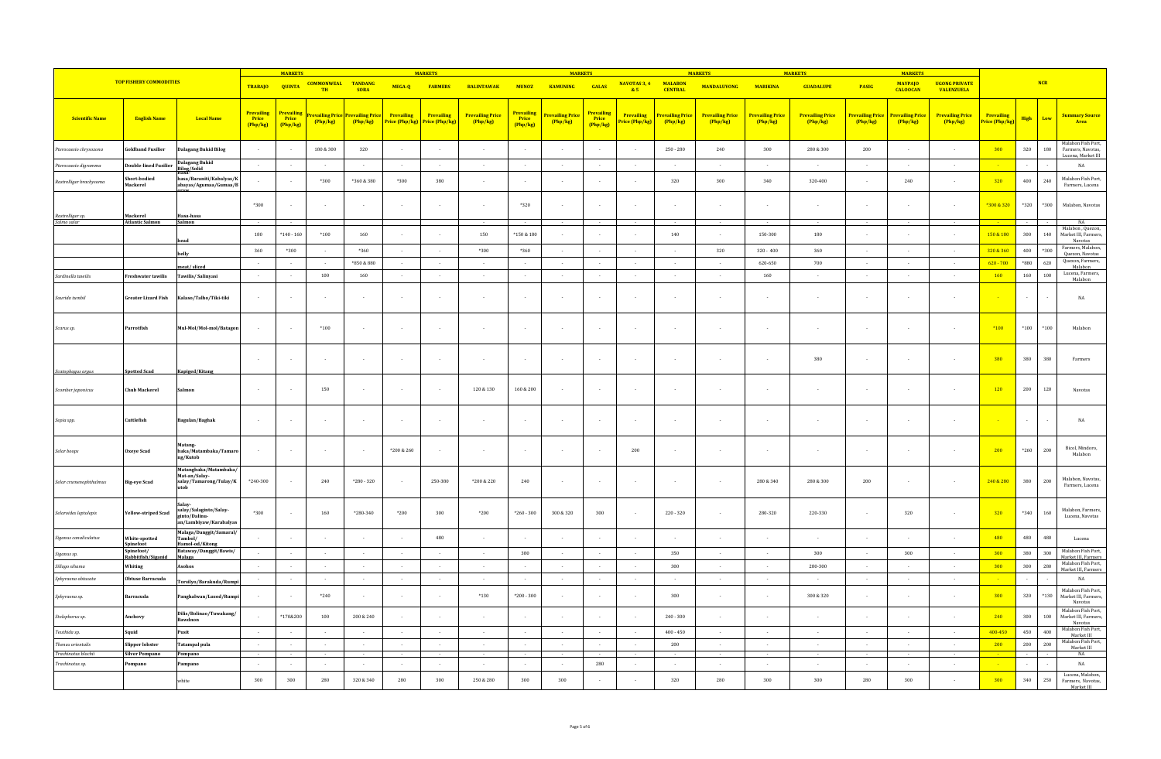|                                                     |                                          |                                                                             |                                      | <b>MARKETS</b>                |                          |                                              |                          | <b>MARKETS</b>                                     |                                     |                                 | <b>MARKETS</b>             |                                 |                              |                                   | <b>MARKETS</b>                    |                                  | <b>MARKETS</b>                    |                                   | <b>MARKETS</b>                      |                                           |                              |         |              |                                                       |
|-----------------------------------------------------|------------------------------------------|-----------------------------------------------------------------------------|--------------------------------------|-------------------------------|--------------------------|----------------------------------------------|--------------------------|----------------------------------------------------|-------------------------------------|---------------------------------|----------------------------|---------------------------------|------------------------------|-----------------------------------|-----------------------------------|----------------------------------|-----------------------------------|-----------------------------------|-------------------------------------|-------------------------------------------|------------------------------|---------|--------------|-------------------------------------------------------|
|                                                     | <b>TOP FISHERY COMMODITIES</b>           |                                                                             | <b>TRABAJO</b>                       | <b>QUINTA</b>                 | <b>COMMONWEAL</b><br>TH  | <b>TANDANG</b><br><b>SORA</b>                | MEGA-Q                   | <b>FARMERS</b>                                     | <b>BALINTAWAK</b>                   | <b>MUNOZ</b>                    | <b>KAMUNING</b>            | GALAS                           | NAVOTAS 3, 4<br>85           | <b>MALABON</b><br><b>CENTRAL</b>  | <b>MANDALUYONG</b>                | <b>MARIKINA</b>                  | <b>GUADALUPE</b>                  | PASIG                             | <b>MAYPAJO</b><br><b>CALOOCAN</b>   | <b>UGONG PRIVATE</b><br><b>VALENZUELA</b> |                              |         | <b>NCR</b>   |                                                       |
| <b>Scientific Name</b>                              | <b>English Name</b>                      | <b>Local Name</b>                                                           | <b>Prevailing</b><br>Price<br>Php/kg | Prevailing<br>Price<br>Php/kg | Php/kg                   | revailing Price Prevailing Price<br>(Php/kg) | Prevailing               | Prevailing<br><b>Price (Php/kg)</b> Price (Php/kg) | <b>Prevailing Price</b><br>(Php/kg) | Prevailing<br>Price<br>(Php/kg) | Prevailing Price<br>Php/kg | Prevailing<br>Price<br>(Php/kg) | Prevailing<br>Price (Php/kg) | <b>Prevailing Price</b><br>Php/kg | <b>Prevailing Price</b><br>Php/kg | <b>Prevailing Pric</b><br>Php/kg | <b>Prevailing Price</b><br>Php/kg | <b>Prevailing Price</b><br>Php/kg | <b>Prevailing Price</b><br>(Php/kg) | <b>Prevailing Price</b><br>Php/kg         | Prevailing<br>Price (Php/kg) | High    | Low          | <b>Summary Source</b><br>Area                         |
| erocaesio chrysozona                                | oldband Fusilier                         | <b>Dalagang Bukid Bilog</b>                                                 | $\sim$                               |                               | 180 & 300                | 320                                          | $\overline{\phantom{a}}$ | $\sim$                                             | $\overline{\phantom{a}}$            | $\sim$                          | $\sim$                     |                                 |                              | $250 - 280$                       | 240                               | $300\,$                          | $280\,\&\,300$                    | 200                               | $\overline{\phantom{a}}$            | $\sim$                                    | 300                          | 320     | $180\,$      | Malabon Fish Port,<br>Farmers, Navotas,               |
| Pterocaesio digramma                                | <b>Double-lined Fusilier</b>             | <b>Dalagang Bukid</b><br><b>Bilog/Solid</b>                                 | $\sim$                               | $\sim$                        | $\sim$                   | $\sim$                                       | $\sim$                   | $\sim$                                             | $\sim$                              | $\sim$                          | $\sim$                     | $\sim$                          | $\sim$                       | $\sim$                            | $\sim$                            | $\sim$                           | $\sim$                            | $\sim$                            | $\sim$                              | $\sim$                                    |                              | $\sim$  |              | Lucena, Market III<br>NA                              |
| Rastrelliger brachysoma                             | Short-bodied<br>Mackerel                 | hasa/Baraniti/Kabalyas/K<br>abayas/Agumaa/Gumaa/B                           |                                      |                               | $*300$                   | *360 & 380                                   | $*300$                   | 380                                                |                                     |                                 |                            |                                 |                              | 320                               | 300                               | 340                              | 320-400                           |                                   | 240                                 |                                           | 320                          | 400     | 240          | Malabon Fish Port,<br>Farmers, Lucena                 |
|                                                     |                                          |                                                                             | *300                                 | $\overline{\phantom{a}}$      | $\sim$                   | $\sim$                                       |                          | $\sim$                                             |                                     | $*320$                          | $\overline{\phantom{a}}$   |                                 |                              | $\sim$                            |                                   |                                  | $\sim$                            |                                   |                                     | $\sim$                                    | *300 & 320                   | *320    | $^{\ast}300$ | Malabon, Navotas                                      |
| Rastrelliger sp.<br>Salmo salar                     | Mackerel<br><b>Atlantic Salmon</b>       | Hasa-hasa<br>Salmon                                                         |                                      |                               |                          |                                              |                          |                                                    |                                     |                                 |                            |                                 |                              |                                   |                                   |                                  |                                   |                                   |                                     |                                           |                              |         |              | NA                                                    |
|                                                     |                                          | head                                                                        | 180                                  | $*140 - 160$                  | $*100$                   | 160                                          | $\overline{\phantom{a}}$ | $\sim$                                             | 150                                 | *150 & 180                      | $\overline{a}$             |                                 |                              | 140                               | $\overline{\phantom{a}}$          | 150-300                          | 180                               | $\overline{\phantom{a}}$          | $\overline{\phantom{a}}$            | $\sim$                                    | 150 & 180                    | 300     | 140          | Malabon, Quezon,<br>Market III, Farmers,<br>Navotas   |
|                                                     |                                          | belly                                                                       | 360                                  | *300                          | $\sim$                   | $*360$                                       | $\overline{\phantom{a}}$ | $\sim$                                             | $*300$                              | *360                            | $\sim$                     |                                 | $\sim$                       | $\sim$                            | 320                               | $320 - 400$                      | 360                               | $\sim$                            | $\sim$                              | $\sim$                                    | 320 & 360                    | 400     | *300         | Farmers, Malabon,<br>Quezon, Navotas                  |
|                                                     |                                          | neat/sliced                                                                 | $\sim$                               | $\sim$                        | $\sim$                   | *850 & 880                                   | $\sim$                   | $\sim$                                             | $\sim$                              | $\sim$                          | $\sim$                     | $\sim$                          | $\sim$                       | $\sim$                            | $\sim$                            | 620-650                          | 700                               | $\sim$ 10 $\pm$                   | $\sim$                              | $\sim$                                    | $620 - 700$                  | $*880$  | 620          | Ouezon, Farmers.<br>Malabon                           |
| Sardinella tawilis                                  | Freshwater tawilis                       | Tawilis/Salinyasi                                                           | $\sim$                               |                               | 100                      | 160                                          | $\overline{\phantom{a}}$ | $\sim$                                             | $\sim$                              | $\overline{\phantom{a}}$        | $\sim$                     |                                 | $\sim$                       | $\sim$                            |                                   | 160                              | $\sim$                            | $\sim$                            | $\overline{a}$                      | $\sim$                                    | $-160$                       | 160     | 100          | Lucena, Farmers,<br>Malabon                           |
| Saurida tumbil                                      | <b>Greater Lizard Fish</b>               | Kalaso/Talho/Tiki-tiki                                                      |                                      |                               |                          |                                              |                          |                                                    |                                     |                                 |                            |                                 |                              |                                   |                                   |                                  |                                   |                                   |                                     |                                           |                              |         |              | $_{\rm NA}$                                           |
| Scarus sp.                                          | Parrotfish                               | Mul-Mol/Mol-mol/Batagon                                                     | $\sim$                               |                               | $*100$                   | $\sim$                                       |                          | $\sim$                                             |                                     | $\sim$                          | $\overline{\phantom{a}}$   |                                 | $\sim$                       | $\sim$                            |                                   |                                  |                                   | $\sim$                            | ٠.                                  | $\sim$                                    | $*100$                       | $^*100$ | $^{\ast}100$ | Malabon                                               |
| Scatophagus argus                                   | <b>Spotted Scad</b>                      | Kapiged/Kitang                                                              | $\sim$                               |                               | $\sim$                   | $\sim$                                       |                          | $\sim$                                             |                                     | $\sim$                          | $\overline{\phantom{a}}$   |                                 | $\sim$                       | $\sim$                            |                                   | $\overline{\phantom{a}}$         | 380                               |                                   |                                     | $\sim$                                    | 380                          | $380\,$ | 380          | Farmers                                               |
| Scomber japonicus                                   | <b>Chub Mackerel</b>                     | Salmor                                                                      |                                      |                               | 150                      | $\sim$                                       |                          |                                                    | $120\,\&\,130$                      | 160 & 200                       |                            |                                 |                              |                                   |                                   |                                  |                                   |                                   |                                     | $\sim$                                    | 120                          | $200\,$ | $120\,$      | Navotas                                               |
| Sepia spp.                                          | Cuttlefish                               | Bagulan/Baghak                                                              |                                      |                               |                          |                                              |                          |                                                    |                                     | $\overline{\phantom{a}}$        |                            |                                 |                              | $\overline{\phantom{a}}$          |                                   |                                  |                                   |                                   |                                     |                                           |                              |         |              | $_{\rm NA}$                                           |
| Selar boops                                         | Oxeye Scad                               | Matang-<br>baka/Matambaka/Tamaro<br>ng/Kutob                                |                                      |                               |                          | $\sim$                                       | *200 & 260               | $\sim$                                             |                                     | $\overline{\phantom{a}}$        | $\overline{\phantom{a}}$   |                                 | 200                          | $\sim$                            | ٠                                 |                                  |                                   |                                   | $\overline{\phantom{a}}$            | $\sim$                                    | 200                          | $*260$  | 200          | Bicol, Mindoro,<br>Malabon                            |
| Selar crumenophthalmus                              | <b>Big-eye Scad</b>                      | Matangbaka/Matambaka/<br>Mat-an/Salav-<br>salay/Tamarong/Tulay/K            | *240-300                             |                               | 240                      | $*280 - 320$                                 |                          | 250-380                                            | *200 & 220                          | 240                             | $\sim$                     |                                 | $\sim$                       | $\sim$                            | $\overline{\phantom{a}}$          | 280 & 340                        | 280 & 300                         | 200                               | $\overline{\phantom{a}}$            | $\sim$                                    | 240 & 280                    | 380     | 200          | Malabon, Navotas,<br>Farmers, Lucena                  |
| Selaroides leptolepis                               | Yellow-striped Scad                      | Salav-<br>salay/Salaginto/Salay-<br>ginto/Dalinu-<br>an/Lambiyaw/Karabalyas | $*300$                               | $\overline{\phantom{a}}$      | 160                      | *280-340                                     | *200                     | 300                                                | $*200$                              | $*260 - 300$                    | 300 & 320                  | 300                             | $\sim$                       | $220 - 320$                       | $\sim$                            | 280-320                          | 220-330                           | $\sim$                            | 320                                 | $\sim$                                    | $-320$                       | $*340$  | 160          | Malabon, Farmers,<br>Lucena, Navotas                  |
| Siganus canaliculatus                               | White-spotted<br>Spinefoot               | Malaga/Danggit/Samaral/<br>Tambol/<br>Hamol-od/Kitong                       |                                      |                               | $\sim$                   | $\sim$                                       |                          | 480                                                |                                     | $\overline{\phantom{a}}$        | $\sim$                     |                                 |                              | $\sim$                            |                                   |                                  | $\sim$                            |                                   |                                     | $\sim$                                    | 480                          | 480     | 480          | Lucena                                                |
| Siganus sp.                                         | Spinefoot/<br>Rabbitfish/Siganid         | Bataway/Danggit/Bawis/<br>Malaga                                            |                                      |                               | $\sim$                   | $\sim$                                       |                          | $\sim$                                             |                                     | 380                             | $\sim$                     |                                 |                              | 350                               | $\sim$                            | $\overline{\phantom{a}}$         | 300                               | $\sim$                            | 300                                 | $\sim$                                    | 300                          | 380     | 300          | Malabon Fish Port,<br>Market III, Farmers             |
| Sillago sihama                                      | Whiting                                  | Asohos                                                                      |                                      |                               |                          |                                              |                          |                                                    |                                     |                                 |                            |                                 |                              | $300\,$                           |                                   |                                  | 280-300                           |                                   |                                     |                                           | 300                          | $300\,$ | 280          | Malabon Fish Port,<br>Market III, Farmers             |
| Sphyraena obtusata                                  | Obtuse Barracuda                         | Torsilyo/Barakuda/Rump                                                      |                                      | $\sim$                        | $\sim$                   | $\sim$                                       |                          | $\sim$                                             |                                     | $\sim$                          | $\cdot$                    |                                 | $\sim$                       | $\sim$                            | $\sim$                            | $\sim$                           | $\sim$                            | $\sim$                            | $\sim$                              | $\sim$                                    |                              | $\cdot$ |              | $_{\rm NA}$                                           |
| Sphyraena sp.                                       | Barracuda                                | Panghalwan/Lusod/Rump                                                       |                                      |                               | $*240$                   |                                              |                          |                                                    | $*130$                              | $*200 - 300$                    |                            |                                 |                              | 300                               |                                   |                                  | 300 & 320                         |                                   |                                     |                                           | 300                          | 320     | $*130$       | Malabon Fish Port,<br>Market III. Farmers<br>Navotas  |
| Stolephorus sp.                                     | Anchovy                                  | Dilis/Bolinao/Tuwakang/<br>awdnon                                           |                                      | *170&200                      | 100                      | 200 & 240                                    |                          |                                                    |                                     |                                 |                            |                                 |                              | $240 - 300$                       |                                   |                                  |                                   |                                   |                                     | $\sim$                                    | 240                          | 300     | 100          | Malabon Fish Port,<br>Market III. Farmers.<br>Navotas |
| Teuthida sp.                                        | Squid                                    | Pusit                                                                       | $\sim$                               |                               | $\overline{\phantom{a}}$ |                                              | $\overline{\phantom{a}}$ | $\sim$                                             | $\sim$                              | $\sim$                          | $\sim$                     |                                 | $\sim$                       | $400 - 450$                       | $\sim$                            | $\sim$                           | $\sim$                            | $\sim$                            | $\overline{\phantom{a}}$            | $\sim$                                    | 400-450                      | 450     | 400          | Malabon Fish Port.<br>Market III                      |
| Thenus orientalis<br>Trachinotus blochii            | Slipper lobster<br><b>Silver Pompano</b> | Tatampal pula                                                               | $\sim$                               | $\sim$                        | $\sim$                   | $\sim$                                       |                          | $\sim$                                             | $\overline{\phantom{a}}$            | $\sim$                          | $\sim$<br>$\sim$           |                                 | $\sim$                       | $200\,$                           | $\sim$                            | $\sim$                           | $\sim$<br>$\sim$                  | $\sim$                            | $\sim$                              | $\sim$                                    | 200                          | $200\,$ | $200\,$      | Malabon Fish Port.<br>Market III<br>NA                |
| $\label{thm:transformation} {\it Trachinotus\ sp.}$ | Pompano                                  | Pompano<br>Pampano                                                          | $\sim$                               | $\sim$                        | $\sim$                   | $\sim$                                       | $\sim$                   | $\sim$                                             | $\sim$                              | $\sim$                          | $\sim$                     | 280                             | $\sim$                       | $\sim$                            | $\sim$                            | $\sim$                           | $\sim$                            | $\sim$                            | $\sim$                              | $\sim$                                    |                              | $\sim$  |              | $_{\rm NA}$                                           |
|                                                     |                                          | white                                                                       | $300\,$                              | 300                           | 280                      | 320 & 340                                    | 280                      | 300                                                | 250 & 280                           | $300\,$                         | 300                        |                                 |                              | 320                               | 280                               | 300                              | 300                               | 280                               | 300                                 |                                           | 300                          | 340     | 250          | Lucena, Malabon,<br>Farmers, Navotas,<br>Market III   |